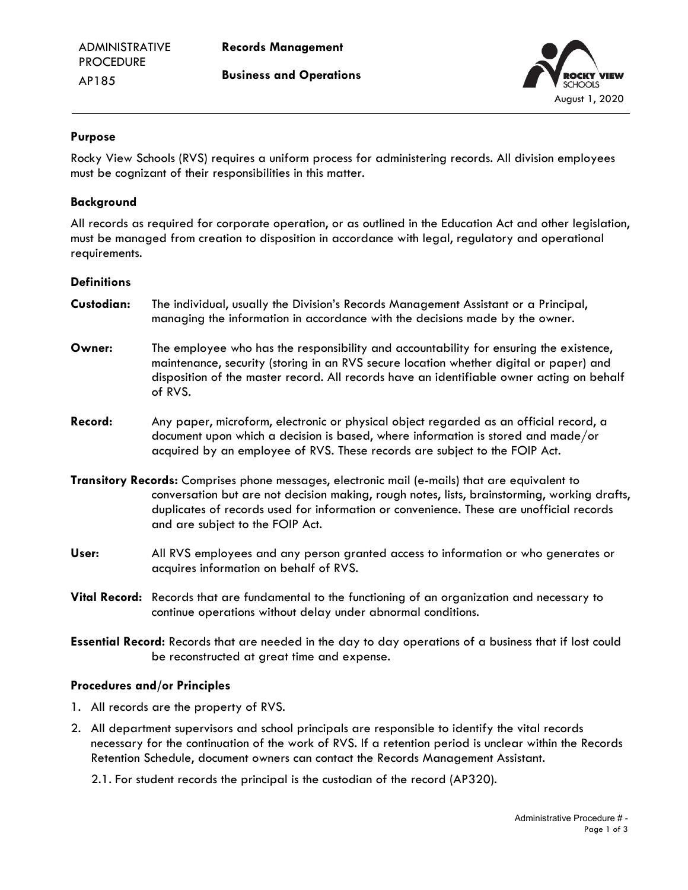

## **Purpose**

Rocky View Schools (RVS) requires a uniform process for administering records. All division employees must be cognizant of their responsibilities in this matter.

## **Background**

All records as required for corporate operation, or as outlined in the Education Act and other legislation, must be managed from creation to disposition in accordance with legal, regulatory and operational requirements.

### **Definitions**

- **Custodian:** The individual, usually the Division's Records Management Assistant or a Principal, managing the information in accordance with the decisions made by the owner.
- **Owner:** The employee who has the responsibility and accountability for ensuring the existence, maintenance, security (storing in an RVS secure location whether digital or paper) and disposition of the master record. All records have an identifiable owner acting on behalf of RVS.
- **Record:** Any paper, microform, electronic or physical object regarded as an official record, a document upon which a decision is based, where information is stored and made/or acquired by an employee of RVS. These records are subject to the FOIP Act.
- **Transitory Records:** Comprises phone messages, electronic mail (e-mails) that are equivalent to conversation but are not decision making, rough notes, lists, brainstorming, working drafts, duplicates of records used for information or convenience. These are unofficial records and are subject to the FOIP Act.
- **User:** All RVS employees and any person granted access to information or who generates or acquires information on behalf of RVS.
- **Vital Record:** Records that are fundamental to the functioning of an organization and necessary to continue operations without delay under abnormal conditions.
- **Essential Record:** Records that are needed in the day to day operations of a business that if lost could be reconstructed at great time and expense.

## **Procedures and/or Principles**

- 1. All records are the property of RVS.
- 2. All department supervisors and school principals are responsible to identify the vital records necessary for the continuation of the work of RVS. If a retention period is unclear within the Records Retention Schedule, document owners can contact the Records Management Assistant.
	- 2.1. For student records the principal is the custodian of the record (AP320).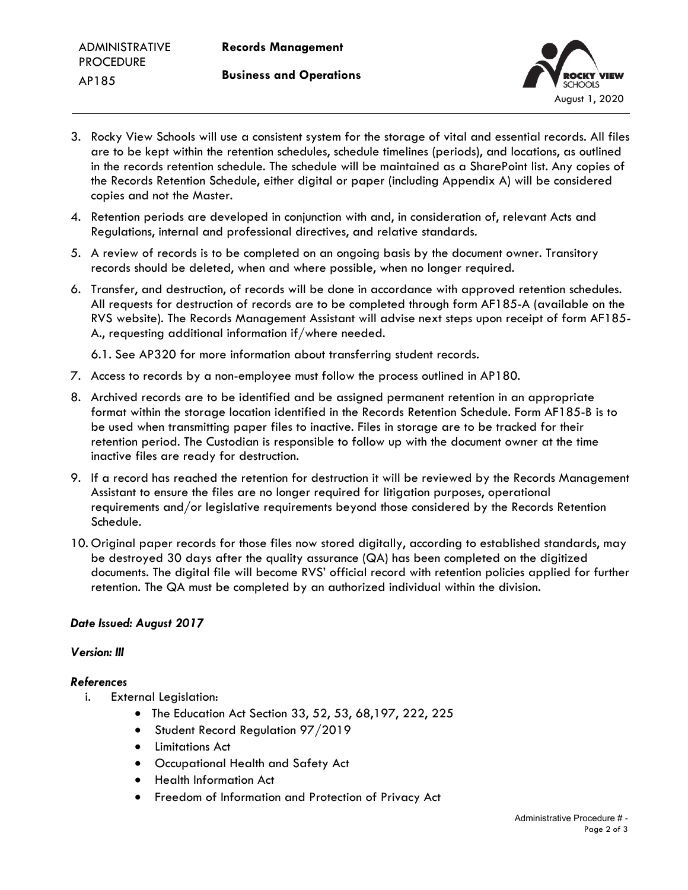| <b>ADMINISTRATIVE</b> |
|-----------------------|
| PROCEDURE             |
| AP185                 |



- 3. Rocky View Schools will use a consistent system for the storage of vital and essential records. All files are to be kept within the retention schedules, schedule timelines (periods), and locations, as outlined in the records retention schedule. The schedule will be maintained as a [SharePoint list.](https://rockyviewschools.sharepoint.com/sites/ec-businessandoperations/Lists/Records%20Retention%20Schedule/AllItems.aspx?newTargetListUrl=%2Fsites%2Fec%2Dbusinessandoperations%2FLists%2FRecords%20Retention%20Schedule&viewpath=%2Fsites%2Fec%2Dbusinessandoperations%2FLists%2FRecords%20Retention%20Schedule%2FAllItems%2Easpx&viewid=376e9456%2D3230%2D451e%2D9897%2D1d6943636139) Any copies of the Records Retention Schedule, either digital or paper (including Appendix A) will be considered copies and not the Master.
- 4. Retention periods are developed in conjunction with and, in consideration of, relevant Acts and Regulations, internal and professional directives, and relative standards.
- 5. A review of records is to be completed on an ongoing basis by the document owner. Transitory records should be deleted, when and where possible, when no longer required.
- 6. Transfer, and destruction, of records will be done in accordance with approved retention schedules. All requests for destruction of records are to be completed through form AF185-A (available on the RVS website). The Records Management Assistant will advise next steps upon receipt of form AF185- A., requesting additional information if/where needed.

6.1. See AP320 for more information about transferring student records.

- 7. Access to records by a non-employee must follow the process outlined in AP180.
- 8. Archived records are to be identified and be assigned permanent retention in an appropriate format within the storage location identified in the Records Retention Schedule. Form AF185-B is to be used when transmitting paper files to inactive. Files in storage are to be tracked for their retention period. The Custodian is responsible to follow up with the document owner at the time inactive files are ready for destruction.
- 9. If a record has reached the retention for destruction it will be reviewed by the Records Management Assistant to ensure the files are no longer required for litigation purposes, operational requirements and/or legislative requirements beyond those considered by the Records Retention Schedule.
- 10. Original paper records for those files now stored digitally, according to established standards, may be destroyed 30 days after the quality assurance (QA) has been completed on the digitized documents. The digital file will become RVS' official record with retention policies applied for further retention. The QA must be completed by an authorized individual within the division.

# *Date Issued: August 2017*

### *Version: III*

# *References*

- i. External Legislation:
	- The Education Act Section 33, 52, 53, 68,197, 222, 225
	- Student Record Regulation 97/2019
	- Limitations Act
	- Occupational Health and Safety Act
	- Health Information Act
	- Freedom of Information and Protection of Privacy Act